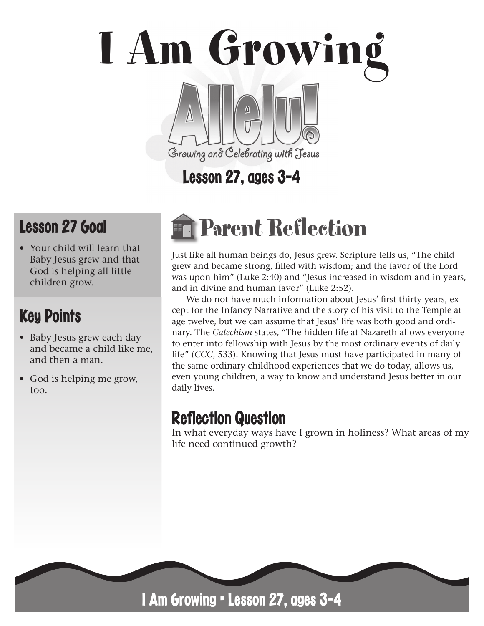# I Am Growing Growing and Celebrating with Jesus

# Lesson 27, ages 3-4

# Lesson 27 Goal

• Your child will learn that Baby Jesus grew and that God is helping all little children grow.

## Key Points

- Baby Jesus grew each day and became a child like me, and then a man.
- God is helping me grow. too.

# Parent Reflection

Just like all human beings do, Jesus grew. Scripture tells us, "The child grew and became strong, filled with wisdom; and the favor of the Lord was upon him" (Luke 2:40) and "Jesus increased in wisdom and in years, and in divine and human favor" (Luke 2:52).

We do not have much information about Jesus' first thirty years, except for the Infancy Narrative and the story of his visit to the Temple at age twelve, but we can assume that Jesus' life was both good and ordinary. The *Catechism* states, "The hidden life at Nazareth allows everyone to enter into fellowship with Jesus by the most ordinary events of daily life" (*CCC*, 533). Knowing that Jesus must have participated in many of the same ordinary childhood experiences that we do today, allows us, even young children, a way to know and understand Jesus better in our daily lives.

### **Reflection Question**

In what everyday ways have I grown in holiness? What areas of my life need continued growth?



I Am Growing • Lesson 27, ages 3-4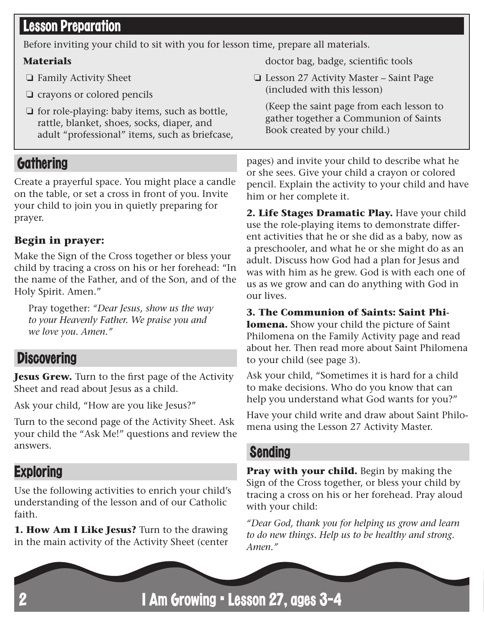#### Lesson Preparation

Before inviting your child to sit with you for lesson time, prepare all materials.

#### **Materials**

- ❏ Family Activity Sheet
- ❏ crayons or colored pencils
- ❏ for role-playing: baby items, such as bottle, rattle, blanket, shoes, socks, diaper, and adult "professional" items, such as briefcase,

#### **Gathering**

Create a prayerful space. You might place a candle on the table, or set a cross in front of you. Invite your child to join you in quietly preparing for prayer.

#### **Begin in prayer:**

Make the Sign of the Cross together or bless your child by tracing a cross on his or her forehead: "In the name of the Father, and of the Son, and of the Holy Spirit. Amen."

Pray together: *"Dear Jesus, show us the way to your Heavenly Father. We praise you and we love you. Amen."*

#### **Discovering**

**Jesus Grew.** Turn to the first page of the Activity Sheet and read about Jesus as a child.

Ask your child, "How are you like Jesus?"

Turn to the second page of the Activity Sheet. Ask your child the "Ask Me!" questions and review the answers.

#### **Exploring**

Use the following activities to enrich your child's understanding of the lesson and of our Catholic faith.

**1. How Am I Like Jesus?** Turn to the drawing in the main activity of the Activity Sheet (center doctor bag, badge, scientific tools

❏ Lesson 27 Activity Master – Saint Page (included with this lesson)

(Keep the saint page from each lesson to gather together a Communion of Saints Book created by your child.)

pages) and invite your child to describe what he or she sees. Give your child a crayon or colored pencil. Explain the activity to your child and have him or her complete it.

**2. Life Stages Dramatic Play.** Have your child use the role-playing items to demonstrate different activities that he or she did as a baby, now as a preschooler, and what he or she might do as an adult. Discuss how God had a plan for Jesus and was with him as he grew. God is with each one of us as we grow and can do anything with God in our lives.

**3. The Communion of Saints: Saint Phi-**

**lomena.** Show your child the picture of Saint Philomena on the Family Activity page and read about her. Then read more about Saint Philomena to your child (see page 3).

Ask your child, "Sometimes it is hard for a child to make decisions. Who do you know that can help you understand what God wants for you?"

Have your child write and draw about Saint Philomena using the Lesson 27 Activity Master.

#### Sending

**Pray with your child.** Begin by making the Sign of the Cross together, or bless your child by tracing a cross on his or her forehead. Pray aloud with your child:

*"Dear God, thank you for helping us grow and learn to do new things. Help us to be healthy and strong. Amen."*

I Am Growing • Lesson 27, ages 3-4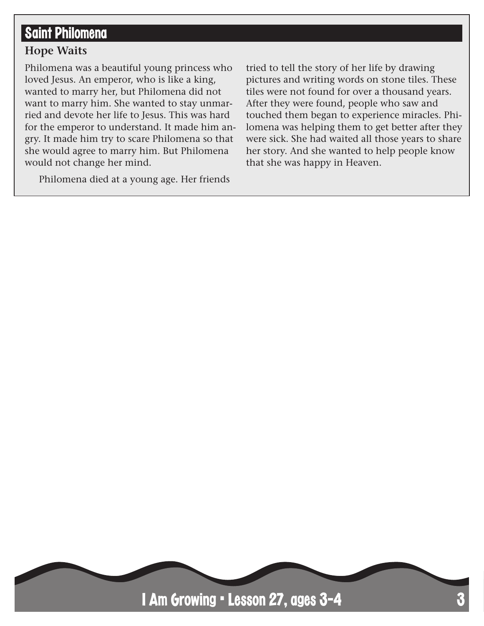#### Saint Philomena

#### **Hope Waits**

Philomena was a beautiful young princess who loved Jesus. An emperor, who is like a king, wanted to marry her, but Philomena did not want to marry him. She wanted to stay unmarried and devote her life to Jesus. This was hard for the emperor to understand. It made him angry. It made him try to scare Philomena so that she would agree to marry him. But Philomena would not change her mind.

Philomena died at a young age. Her friends

tried to tell the story of her life by drawing pictures and writing words on stone tiles. These tiles were not found for over a thousand years. After they were found, people who saw and touched them began to experience miracles. Philomena was helping them to get better after they were sick. She had waited all those years to share her story. And she wanted to help people know that she was happy in Heaven.